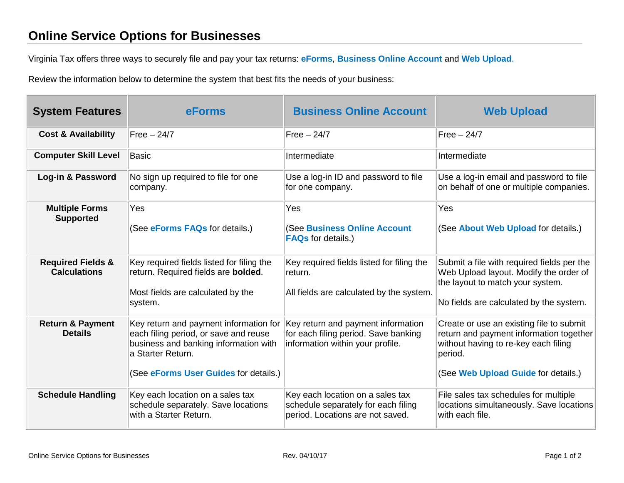## **Online Service Options for Businesses**

Virginia Tax offers three ways to securely file and pay your tax returns: **[eForms](https://www.tax.virginia.gov/eforms)**, **[Business Online Account](https://www.business.tax.virginia.gov/VTOL/Login.seam)** and **[Web Upload](https://www.webupload.tax.virginia.gov/user/login)**.

Review the information below to determine the system that best fits the needs of your business:

| <b>System Features</b>                              | <b>eForms</b>                                                                                                                                                                          | <b>Business Online Account</b>                                                                                 | <b>Web Upload</b>                                                                                                                                                             |
|-----------------------------------------------------|----------------------------------------------------------------------------------------------------------------------------------------------------------------------------------------|----------------------------------------------------------------------------------------------------------------|-------------------------------------------------------------------------------------------------------------------------------------------------------------------------------|
| <b>Cost &amp; Availability</b>                      | $Free - 24/7$                                                                                                                                                                          | Free $-24/7$                                                                                                   | $Free - 24/7$                                                                                                                                                                 |
| <b>Computer Skill Level</b>                         | <b>Basic</b>                                                                                                                                                                           | Intermediate                                                                                                   | Intermediate                                                                                                                                                                  |
| Log-in & Password                                   | No sign up required to file for one<br>company.                                                                                                                                        | Use a log-in ID and password to file<br>for one company.                                                       | Use a log-in email and password to file<br>on behalf of one or multiple companies.                                                                                            |
| <b>Multiple Forms</b><br><b>Supported</b>           | Yes<br>(See eForms FAQs for details.)                                                                                                                                                  | Yes<br>(See Business Online Account<br><b>FAQs</b> for details.)                                               | Yes<br>(See About Web Upload for details.)                                                                                                                                    |
| <b>Required Fields &amp;</b><br><b>Calculations</b> | Key required fields listed for filing the<br>return. Required fields are bolded.<br>Most fields are calculated by the<br>system.                                                       | Key required fields listed for filing the<br>return.<br>All fields are calculated by the system.               | Submit a file with required fields per the<br>Web Upload layout. Modify the order of<br>the layout to match your system.<br>No fields are calculated by the system.           |
| <b>Return &amp; Payment</b><br><b>Details</b>       | Key return and payment information for<br>each filing period, or save and reuse<br>business and banking information with<br>a Starter Return.<br>(See eForms User Guides for details.) | Key return and payment information<br>for each filing period. Save banking<br>information within your profile. | Create or use an existing file to submit<br>return and payment information together<br>without having to re-key each filing<br>period.<br>(See Web Upload Guide for details.) |
| <b>Schedule Handling</b>                            | Key each location on a sales tax<br>schedule separately. Save locations<br>with a Starter Return.                                                                                      | Key each location on a sales tax<br>schedule separately for each filing<br>period. Locations are not saved.    | File sales tax schedules for multiple<br>locations simultaneously. Save locations<br>with each file.                                                                          |